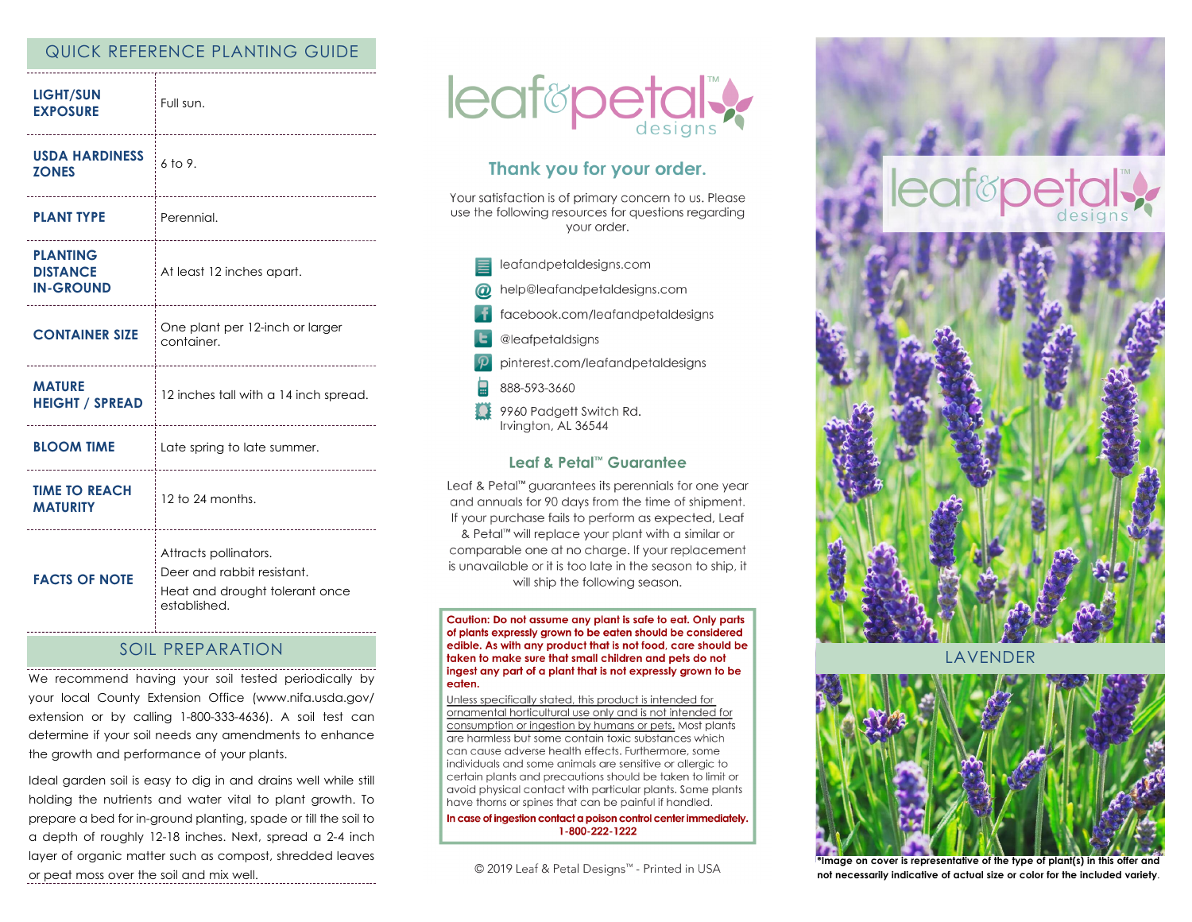## QUICK REFERENCE PLANTING GUIDE

| <b>LIGHT/SUN</b><br><b>EXPOSURE</b>                            | Full sun.                                                                                             |
|----------------------------------------------------------------|-------------------------------------------------------------------------------------------------------|
| <b>USDA HARDINESS</b><br><b>ZONES</b><br>--------------------- | 6 to 9.                                                                                               |
| <b>PLANT TYPE</b>                                              | Perennial.                                                                                            |
| <b>PLANTING</b><br><b>DISTANCE</b><br><b>IN-GROUND</b>         | At least 12 inches apart.                                                                             |
| <b>CONTAINER SIZE</b>                                          | One plant per 12-inch or larger<br>container.                                                         |
| <b>MATURE</b><br><b>HEIGHT / SPREAD</b>                        | 12 inches tall with a 14 inch spread.                                                                 |
| <b>BLOOM TIME</b>                                              | Late spring to late summer.                                                                           |
| <b>TIME TO REACH</b><br><b>MATURITY</b>                        | 12 to 24 months.                                                                                      |
| <b>FACTS OF NOTE</b>                                           | Attracts pollinators.<br>Deer and rabbit resistant.<br>Heat and drought tolerant once<br>established. |

# SOIL PREPARATION

We recommend having your soil tested periodically by your local County Extension Office (www.nifa.usda.gov/ extension or by calling 1-800-333-4636). A soil test can determine if your soil needs any amendments to enhance the growth and performance of your plants.

Ideal garden soil is easy to dig in and drains well while still holding the nutrients and water vital to plant growth. To prepare a bed for in-ground planting, spade or till the soil to a depth of roughly 12-18 inches. Next, spread a 2-4 inch layer of organic matter such as compost, shredded leaves or peat moss over the soil and mix well.



# Thank you for your order.

Your satisfaction is of primary concern to us. Please use the following resources for questions regarding vour order.

leafandpetaldesigns.com help@leafandpetaldesigns.com facebook.com/leafandpetaldesigns @leafpetaldsigns pinterest.com/leafandpetaldesigns 888-593-3660 9960 Padgett Switch Rd. Irvington, AL 36544

#### Leaf & Petal™ Guarantee

Leaf & Petal<sup>™</sup> guarantees its perennials for one year and annuals for 90 days from the time of shipment. If your purchase fails to perform as expected, Leaf & Petal<sup>™</sup> will replace your plant with a similar or comparable one at no charge. If your replacement is unavailable or it is too late in the season to ship, it will ship the following season.

Caution: Do not assume any plant is safe to eat. Only parts of plants expressly grown to be eaten should be considered edible. As with any product that is not food, care should be taken to make sure that small children and pets do not ingest any part of a plant that is not expressly grown to be eaten.

Unless specifically stated, this product is intended for ornamental horticultural use only and is not intended for consumption or ingestion by humans or pets. Most plants are harmless but some contain toxic substances which can cause adverse health effects. Furthermore, some individuals and some animals are sensitive or allergic to certain plants and precautions should be taken to limit or avoid physical contact with particular plants. Some plants have thorns or spines that can be painful if handled.

In case of ingestion contact a poison control center immediately. 1-800-222-1222

© 2019 Leaf & Petal Designs™ - Printed in USA





**LAVENDER** 



**\*Image on cover is representative of the type of plant(s) in this offer and not necessarily indicative of actual size or color for the included variety**.